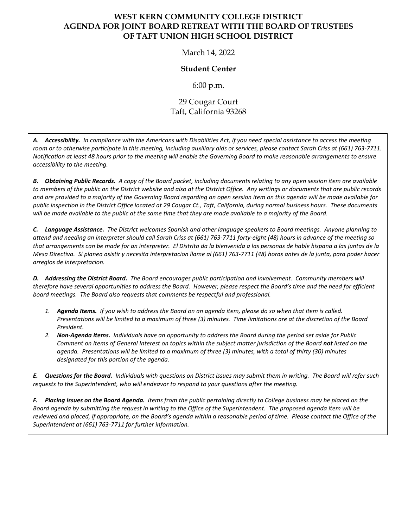## **WEST KERN COMMUNITY COLLEGE DISTRICT AGENDA FOR JOINT BOARD RETREAT WITH THE BOARD OF TRUSTEES OF TAFT UNION HIGH SCHOOL DISTRICT**

March 14, 2022

## **Student Center**

6:00 p.m.

## 29 Cougar Court Taft, California 93268

*A. Accessibility. In compliance with the Americans with Disabilities Act, if you need special assistance to access the meeting room or to otherwise participate in this meeting, including auxiliary aids or services, please contact Sarah Criss at (661) 763-7711. Notification at least 48 hours prior to the meeting will enable the Governing Board to make reasonable arrangements to ensure accessibility to the meeting.*

*B. Obtaining Public Records. A copy of the Board packet, including documents relating to any open session item are available to members of the public on the District website and also at the District Office. Any writings or documents that are public records and are provided to a majority of the Governing Board regarding an open session item on this agenda will be made available for public inspection in the District Office located at 29 Cougar Ct., Taft, California, during normal business hours. These documents will be made available to the public at the same time that they are made available to a majority of the Board.*

*C. Language Assistance. The District welcomes Spanish and other language speakers to Board meetings. Anyone planning to attend and needing an interpreter should call Sarah Criss at (661) 763-7711 forty-eight (48) hours in advance of the meeting so that arrangements can be made for an interpreter. El Distrito da la bienvenida a las personas de hable hispana a las juntas de la Mesa Directiva. Si planea asistir y necesita interpretacion llame al (661) 763-7711 (48) horas antes de la junta, para poder hacer arreglos de interpretacion.*

*D. Addressing the District Board. The Board encourages public participation and involvement. Community members will therefore have several opportunities to address the Board. However, please respect the Board's time and the need for efficient board meetings. The Board also requests that comments be respectful and professional.*

- *1. Agenda Items. If you wish to address the Board on an agenda item, please do so when that item is called. Presentations will be limited to a maximum of three (3) minutes. Time limitations are at the discretion of the Board President.*
- *2. Non-Agenda Items. Individuals have an opportunity to address the Board during the period set aside for Public Comment on Items of General Interest on topics within the subject matter jurisdiction of the Board not listed on the agenda. Presentations will be limited to a maximum of three (3) minutes, with a total of thirty (30) minutes designated for this portion of the agenda.*

*E. Questions for the Board. Individuals with questions on District issues may submit them in writing. The Board will refer such requests to the Superintendent, who will endeavor to respond to your questions after the meeting.*

*F. Placing issues on the Board Agenda. Items from the public pertaining directly to College business may be placed on the Board agenda by submitting the request in writing to the Office of the Superintendent. The proposed agenda item will be reviewed and placed, if appropriate, on the Board's agenda within a reasonable period of time. Please contact the Office of the Superintendent at (661) 763-7711 for further information.*